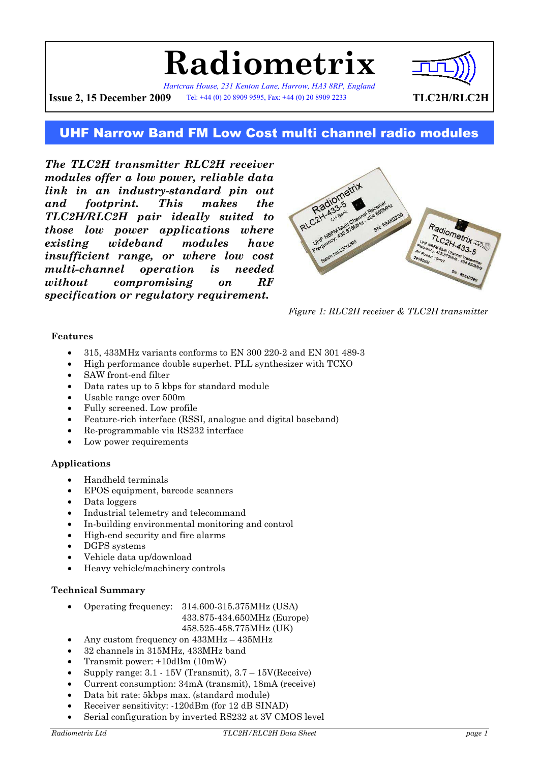

*Hartcran House, 231 Kenton Lane, Harrow, HA3 8RP, England* **Issue 2, 15 December 2009** Tel: +44 (0) 20 8909 9595, Fax: +44 (0) 20 8909 2233 **TLC2H/RLC2H** 



## UHF Narrow Band FM Low Cost multi channel radio modules

*The TLC2H transmitter RLC2H receiver modules offer a low power, reliable data link in an industry-standard pin out and footprint. This makes the TLC2H/RLC2H pair ideally suited to those low power applications where existing wideband modules have insufficient range, or where low cost multi-channel operation is needed without compromising on RF specification or regulatory requirement.*



*Figure 1: RLC2H receiver & TLC2H transmitter* 

#### **Features**

- 315, 433MHz variants conforms to EN 300 220-2 and EN 301 489-3
- High performance double superhet. PLL synthesizer with TCXO
- SAW front-end filter
- Data rates up to 5 kbps for standard module
- Usable range over 500m
- Fully screened. Low profile
- Feature-rich interface (RSSI, analogue and digital baseband)
- Re-programmable via RS232 interface
- Low power requirements

#### **Applications**

- Handheld terminals
- EPOS equipment, barcode scanners
- Data loggers
- Industrial telemetry and telecommand
- In-building environmental monitoring and control
- High-end security and fire alarms
- DGPS systems
- Vehicle data up/download
- Heavy vehicle/machinery controls

#### **Technical Summary**

- Operating frequency: 314.600-315.375MHz (USA)
	- 433.875-434.650MHz (Europe)
		- 458.525-458.775MHz (UK)
- Any custom frequency on  $433MHz 435MHz$
- 32 channels in 315MHz, 433MHz band
- Transmit power: +10dBm (10mW)
- Supply range:  $3.1 15V$  (Transmit),  $3.7 15V$  (Receive)
- Current consumption: 34mA (transmit), 18mA (receive)
- Data bit rate: 5kbps max. (standard module)
- Receiver sensitivity: -120dBm (for 12 dB SINAD)
- Serial configuration by inverted RS232 at 3V CMOS level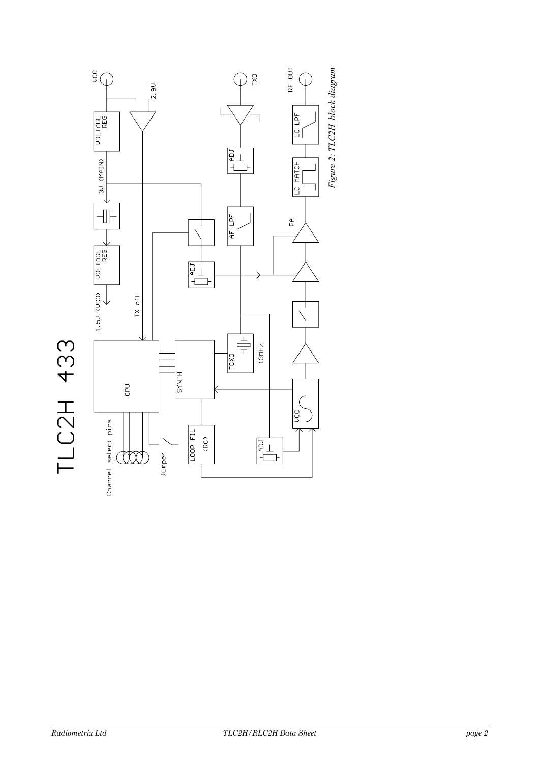

TLC2H 433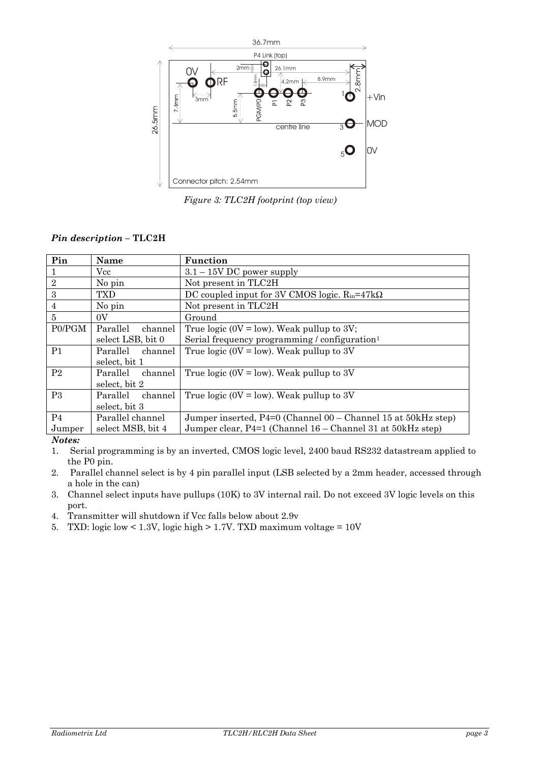

*Figure 3: TLC2H footprint (top view)* 

#### *Pin description –* **TLC2H**

| Pin            | Name                | Function                                                      |  |  |
|----------------|---------------------|---------------------------------------------------------------|--|--|
|                | Vcc                 | $3.1 - 15V$ DC power supply                                   |  |  |
| $\sqrt{2}$     | No pin              | Not present in TLC2H                                          |  |  |
| 3              | TXD                 | DC coupled input for 3V CMOS logic. $R_{in} = 47k\Omega$      |  |  |
| 4              | No pin              | Not present in TLC2H                                          |  |  |
| 5              | 0V                  | Ground                                                        |  |  |
| P0/PGM         | Parallel<br>channel | True logic ( $0V = low$ ). Weak pullup to 3V;                 |  |  |
|                | select LSB, bit 0   | Serial frequency programming / configuration <sup>1</sup>     |  |  |
| P <sub>1</sub> | Parallel<br>channel | True logic (0V = low). Weak pullup to 3V                      |  |  |
|                | select, bit 1       |                                                               |  |  |
| P <sub>2</sub> | Parallel<br>channel | True logic (0V = low). Weak pullup to 3V                      |  |  |
|                | select, bit 2       |                                                               |  |  |
| P <sub>3</sub> | Parallel<br>channel | True logic (0V = low). Weak pullup to 3V                      |  |  |
|                | select, bit 3       |                                                               |  |  |
| P <sub>4</sub> | Parallel channel    | Jumper inserted, P4=0 (Channel 00 – Channel 15 at 50kHz step) |  |  |
| Jumper         | select MSB, bit 4   | Jumper clear, P4=1 (Channel 16 – Channel 31 at 50kHz step)    |  |  |
| $\mathbf{X}$   |                     |                                                               |  |  |

#### *Notes:*

1. Serial programming is by an inverted, CMOS logic level, 2400 baud RS232 datastream applied to the P0 pin.

2. Parallel channel select is by 4 pin parallel input (LSB selected by a 2mm header, accessed through a hole in the can)

3. Channel select inputs have pullups (10K) to 3V internal rail. Do not exceed 3V logic levels on this port.

4. Transmitter will shutdown if Vcc falls below about 2.9v

5. TXD: logic low < 1.3V, logic high > 1.7V. TXD maximum voltage = 10V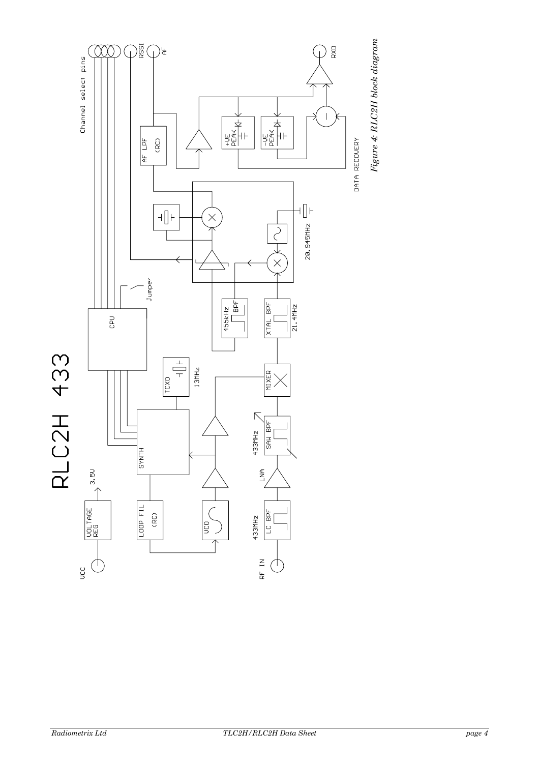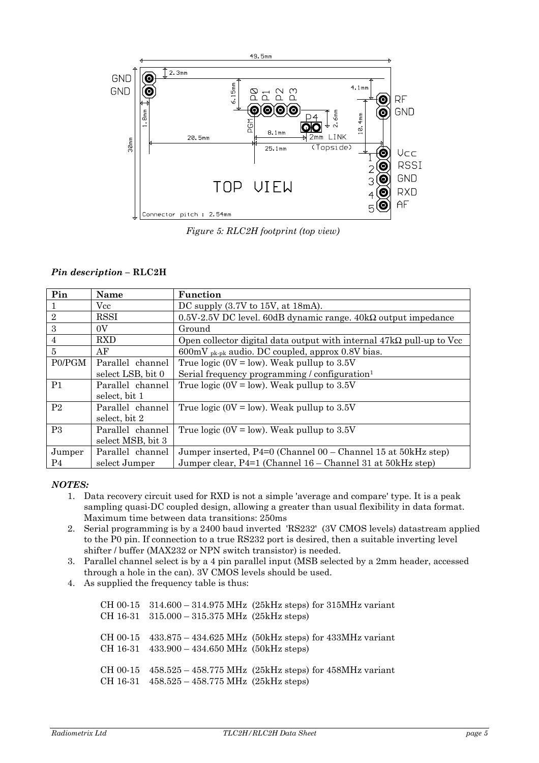

*Figure 5: RLC2H footprint (top view)* 

#### *Pin description –* **RLC2H**

| Pin            | <b>Name</b>       | Function                                                                    |  |  |
|----------------|-------------------|-----------------------------------------------------------------------------|--|--|
| $\mathbf{1}$   | Vcc               | DC supply $(3.7V \text{ to } 15V, \text{ at } 18 \text{ mA})$ .             |  |  |
| $\sqrt{2}$     | <b>RSSI</b>       | $0.5V-2.5V$ DC level. 60dB dynamic range. 40k $\Omega$ output impedance     |  |  |
| 3              | 0V                | Ground                                                                      |  |  |
| $\overline{4}$ | <b>RXD</b>        | Open collector digital data output with internal $47k\Omega$ pull-up to Vcc |  |  |
| 5              | AF                | $600 \text{mV}$ <sub>pk-pk</sub> audio. DC coupled, approx 0.8V bias.       |  |  |
| P0/PGM         | Parallel channel  | True logic (0V = low). Weak pullup to $3.5V$                                |  |  |
|                | select LSB, bit 0 | Serial frequency programming / configuration <sup>1</sup>                   |  |  |
| P <sub>1</sub> | Parallel channel  | True logic (0V = low). Weak pullup to $3.5V$                                |  |  |
|                | select, bit 1     |                                                                             |  |  |
| P <sub>2</sub> | Parallel channel  | True logic (0V = low). Weak pullup to $3.5V$                                |  |  |
|                | select, bit 2     |                                                                             |  |  |
| P <sub>3</sub> | Parallel channel  | True logic (0V = low). Weak pullup to $3.5V$                                |  |  |
|                | select MSB, bit 3 |                                                                             |  |  |
| Jumper         | Parallel channel  | Jumper inserted, P4=0 (Channel 00 – Channel 15 at 50kHz step)               |  |  |
| P <sub>4</sub> | select Jumper     | Jumper clear, P4=1 (Channel 16 – Channel 31 at 50kHz step)                  |  |  |

#### *NOTES:*

- 1. Data recovery circuit used for RXD is not a simple 'average and compare' type. It is a peak sampling quasi-DC coupled design, allowing a greater than usual flexibility in data format. Maximum time between data transitions: 250ms
- 2. Serial programming is by a 2400 baud inverted 'RS232' (3V CMOS levels) datastream applied to the P0 pin. If connection to a true RS232 port is desired, then a suitable inverting level shifter / buffer (MAX232 or NPN switch transistor) is needed.
- 3. Parallel channel select is by a 4 pin parallel input (MSB selected by a 2mm header, accessed through a hole in the can). 3V CMOS levels should be used.
- 4. As supplied the frequency table is thus:

CH 00-15 314.600 – 314.975 MHz (25kHz steps) for 315MHz variant CH 16-31 315.000 – 315.375 MHz (25kHz steps) CH 00-15 433.875 – 434.625 MHz (50kHz steps) for 433MHz variant CH 16-31 433.900 – 434.650 MHz (50kHz steps) CH 00-15 458.525 – 458.775 MHz (25kHz steps) for 458MHz variant CH 16-31 458.525 – 458.775 MHz (25kHz steps)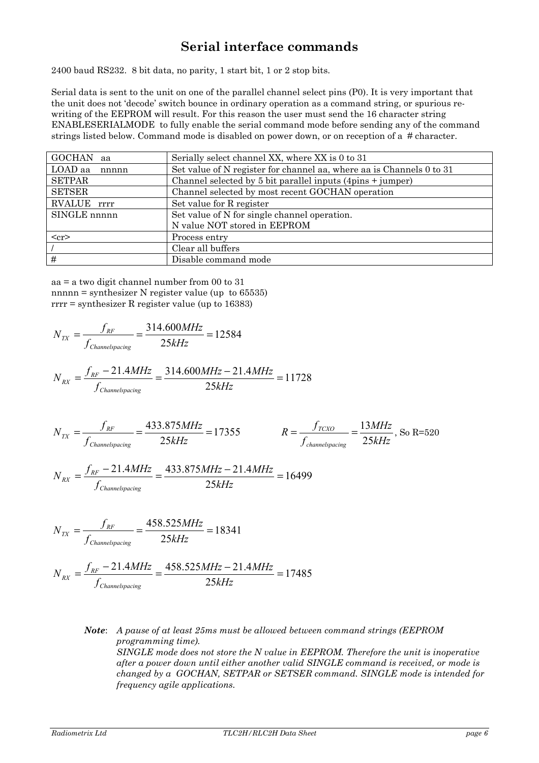## **Serial interface commands**

2400 baud RS232. 8 bit data, no parity, 1 start bit, 1 or 2 stop bits.

Serial data is sent to the unit on one of the parallel channel select pins (P0). It is very important that the unit does not 'decode' switch bounce in ordinary operation as a command string, or spurious rewriting of the EEPROM will result. For this reason the user must send the 16 character string ENABLESERIALMODE to fully enable the serial command mode before sending any of the command strings listed below. Command mode is disabled on power down, or on reception of a # character.

| <b>GOCHAN</b><br>aa | Serially select channel XX, where XX is 0 to 31                            |
|---------------------|----------------------------------------------------------------------------|
| LOAD aa<br>nnnnn    | Set value of N register for channel aa, where aa is Channels 0 to 31       |
| <b>SETPAR</b>       | Channel selected by 5 bit parallel inputs $(4\text{pins} + \text{jumper})$ |
| <b>SETSER</b>       | Channel selected by most recent GOCHAN operation                           |
| RVALUE rrrr         | Set value for R register                                                   |
| SINGLE nnnnn        | Set value of N for single channel operation.                               |
|                     | N value NOT stored in EEPROM                                               |
| $cr$                | Process entry                                                              |
|                     | Clear all buffers                                                          |
| #                   | Disable command mode                                                       |

aa = a two digit channel number from 00 to 31 nnnnn = synthesizer N register value (up to 65535) rrrr = synthesizer R register value (up to 16383)

$$
N_{TX} = \frac{f_{RF}}{f_{Channelspacing}} = \frac{314.600MHz}{25kHz} = 12584
$$

$$
N_{RX} = \frac{f_{RF} - 21.4MHz}{f_{Channelspacing}} = \frac{314.600MHz - 21.4MHz}{25kHz} = 11728
$$

$$
N_{TX} = \frac{f_{RF}}{f_{Channels \text{pacing}}} = \frac{433.875 \, MHz}{25 \, kHz} = 17355 \qquad R = \frac{f_{TCXO}}{f_{channels \text{pacing}}} = \frac{13 \, MHz}{25 \, kHz}
$$

$$
R = \frac{f_{TCXO}}{f_{channelspacing}} = \frac{13MHz}{25kHz}, \text{ So R=520}
$$

$$
N_{RX} = \frac{f_{RF} - 21.4MHz}{f_{Channelspacing}} = \frac{433.875MHz - 21.4MHz}{25kHz} = 16499
$$

$$
N_{TX} = \frac{f_{RF}}{f_{Channelspacing}} = \frac{458.525MHz}{25kHz} = 18341
$$

$$
N_{RX} = \frac{f_{RF} - 21.4MHz}{f_{Channelspacing}} = \frac{458.525MHz - 21.4MHz}{25kHz} = 17485
$$

*Note*: *A pause of at least 25ms must be allowed between command strings (EEPROM programming time). SINGLE mode does not store the N value in EEPROM. Therefore the unit is inoperative after a power down until either another valid SINGLE command is received, or mode is changed by a GOCHAN, SETPAR or SETSER command. SINGLE mode is intended for frequency agile applications.*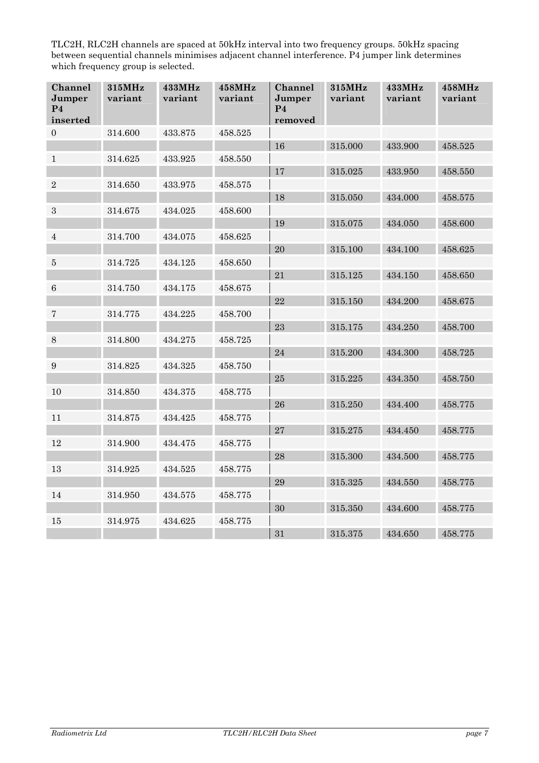TLC2H, RLC2H channels are spaced at 50kHz interval into two frequency groups. 50kHz spacing between sequential channels minimises adjacent channel interference. P4 jumper link determines which frequency group is selected.

| Channel<br>Jumper<br>P <sub>4</sub><br>inserted | 315MHz<br>variant | 433MHz<br>variant | 458MHz<br>variant | Channel<br>Jumper<br>P <sub>4</sub><br>removed | 315MHz<br>variant | 433MHz<br>variant | 458MHz<br>variant |
|-------------------------------------------------|-------------------|-------------------|-------------------|------------------------------------------------|-------------------|-------------------|-------------------|
| $\overline{0}$                                  | 314.600           | 433.875           | 458.525           |                                                |                   |                   |                   |
|                                                 |                   |                   |                   | 16                                             | 315.000           | 433.900           | 458.525           |
| $\mathbf{1}$                                    | 314.625           | 433.925           | 458.550           |                                                |                   |                   |                   |
|                                                 |                   |                   |                   | 17                                             | 315.025           | 433.950           | 458.550           |
| $\sqrt{2}$                                      | 314.650           | 433.975           | 458.575           |                                                |                   |                   |                   |
|                                                 |                   |                   |                   | 18                                             | 315.050           | 434.000           | 458.575           |
| $\,3\,$                                         | 314.675           | 434.025           | 458.600           |                                                |                   |                   |                   |
|                                                 |                   |                   |                   | 19                                             | 315.075           | 434.050           | 458.600           |
| $\overline{4}$                                  | 314.700           | 434.075           | 458.625           |                                                |                   |                   |                   |
|                                                 |                   |                   |                   | 20                                             | 315.100           | 434.100           | 458.625           |
| $\bf 5$                                         | 314.725           | 434.125           | 458.650           |                                                |                   |                   |                   |
|                                                 |                   |                   |                   | 21                                             | 315.125           | 434.150           | 458.650           |
| $\,6$                                           | 314.750           | 434.175           | 458.675           |                                                |                   |                   |                   |
|                                                 |                   |                   |                   | 22                                             | 315.150           | 434.200           | 458.675           |
| 7                                               | 314.775           | 434.225           | 458.700           |                                                |                   |                   |                   |
|                                                 |                   |                   |                   | 23                                             | 315.175           | 434.250           | 458.700           |
| $\,8\,$                                         | 314.800           | 434.275           | 458.725           |                                                |                   |                   |                   |
|                                                 |                   |                   |                   | 24                                             | 315.200           | 434.300           | 458.725           |
| $\boldsymbol{9}$                                | 314.825           | 434.325           | 458.750           |                                                |                   |                   |                   |
|                                                 |                   |                   |                   | 25                                             | 315.225           | 434.350           | 458.750           |
| 10                                              | 314.850           | 434.375           | 458.775           |                                                |                   |                   |                   |
|                                                 |                   |                   |                   | 26                                             | 315.250           | 434.400           | 458.775           |
| 11                                              | 314.875           | 434.425           | 458.775           |                                                |                   |                   |                   |
|                                                 |                   |                   |                   | 27                                             | 315.275           | 434.450           | 458.775           |
| 12                                              | 314.900           | 434.475           | 458.775           |                                                |                   |                   |                   |
|                                                 |                   |                   |                   | 28                                             | 315.300           | 434.500           | 458.775           |
| 13                                              | 314.925           | 434.525           | 458.775           |                                                |                   |                   |                   |
|                                                 |                   |                   |                   | 29                                             | 315.325           | 434.550           | 458.775           |
| 14                                              | 314.950           | 434.575           | 458.775           |                                                |                   |                   |                   |
|                                                 |                   |                   |                   | 30                                             | 315.350           | 434.600           | 458.775           |
| 15                                              | 314.975           | 434.625           | 458.775           |                                                |                   |                   |                   |
|                                                 |                   |                   |                   | 31                                             | 315.375           | 434.650           | 458.775           |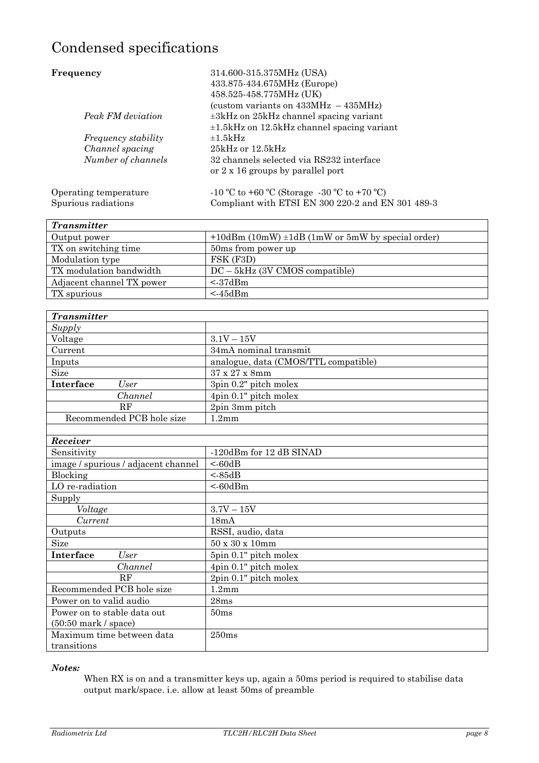# Condensed specifications

| Frequency                  | 314.600-315.375MHz (USA)<br>433.875-434.675MHz (Europe)<br>458.525-458.775MHz (UK) |
|----------------------------|------------------------------------------------------------------------------------|
|                            | (custom variants on $433MHz - 435MHz$ )                                            |
| Peak FM deviation          | $\pm 3$ kHz on $25$ kHz channel spacing variant                                    |
|                            | $\pm 1.5$ kHz on 12.5 kHz channel spacing variant                                  |
| <i>Frequency stability</i> | $\pm 1.5$ kHz                                                                      |
| Channel spacing            | $25kHz$ or $12.5kHz$                                                               |
| Number of channels         | 32 channels selected via RS232 interface                                           |
|                            | or 2 x 16 groups by parallel port                                                  |
| Operating temperature      | $-10$ °C to +60 °C (Storage $-30$ °C to +70 °C)                                    |
| Spurious radiations        | Compliant with ETSI EN 300 220-2 and EN 301 489-3                                  |

| <b>Transmitter</b>        |                                                          |
|---------------------------|----------------------------------------------------------|
| Output power              | $+10$ dBm (10mW) $\pm$ 1dB (1mW or 5mW by special order) |
| TX on switching time      | 50ms from power up                                       |
| Modulation type           | FSK (F3D)                                                |
| TX modulation bandwidth   | $DC - 5kHz$ (3V CMOS compatible)                         |
| Adjacent channel TX power | $\leq$ 37dBm                                             |
| TX spurious               | $<$ 45dBm                                                |

| <b>Transmitter</b>        |                                      |  |
|---------------------------|--------------------------------------|--|
| Supply                    |                                      |  |
| Voltage                   | $3.1V - 15V$                         |  |
| Current                   | 34mA nominal transmit                |  |
| Inputs                    | analogue, data (CMOS/TTL compatible) |  |
| Size                      | 37 x 27 x 8mm                        |  |
| Interface<br>User         | 3pin 0.2" pitch molex                |  |
| Channel                   | 4pin 0.1" pitch molex                |  |
| RF                        | 2pin 3mm pitch                       |  |
| Recommended PCB hole size | $1.2 \text{mm}$                      |  |
|                           |                                      |  |

| Receiver                            |                             |  |  |
|-------------------------------------|-----------------------------|--|--|
| Sensitivity                         | -120dBm for 12 dB SINAD     |  |  |
| image / spurious / adjacent channel | < 60dB                      |  |  |
| Blocking                            | < 85dB                      |  |  |
| LO re-radiation                     | < 60dBm                     |  |  |
| Supply                              |                             |  |  |
| Voltage                             | $3.7V - 15V$                |  |  |
| Current                             | 18mA                        |  |  |
| Outputs                             | RSSI, audio, data           |  |  |
| <b>Size</b>                         | $50 \times 30 \times 10$ mm |  |  |
| Interface<br>User                   | 5pin 0.1" pitch molex       |  |  |
| Channel                             | 4pin 0.1" pitch molex       |  |  |
| RF                                  | 2pin 0.1" pitch molex       |  |  |
| Recommended PCB hole size           | 1.2 <sub>mm</sub>           |  |  |
| Power on to valid audio             | 28ms                        |  |  |
| Power on to stable data out         | 50ms                        |  |  |
| $(50:50$ mark / space)              |                             |  |  |
| Maximum time between data           | 250ms                       |  |  |
| transitions                         |                             |  |  |

#### *Notes:*

When RX is on and a transmitter keys up, again a 50ms period is required to stabilise data output mark/space. i.e. allow at least 50ms of preamble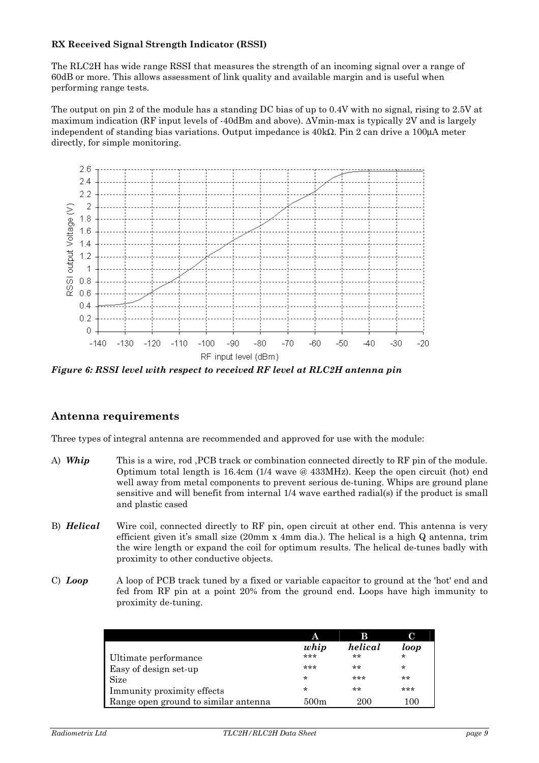#### **RX Received Signal Strength Indicator (RSSI)**

The RLC2H has wide range RSSI that measures the strength of an incoming signal over a range of 60dB or more. This allows assessment of link quality and available margin and is useful when performing range tests.

The output on pin 2 of the module has a standing DC bias of up to 0.4V with no signal, rising to 2.5V at maximum indication (RF input levels of -40dBm and above). ∆Vmin-max is typically 2V and is largely independent of standing bias variations. Output impedance is 40kΩ. Pin 2 can drive a 100µA meter directly, for simple monitoring.



*Figure 6: RSSI level with respect to received RF level at RLC2H antenna pin* 

#### **Antenna requirements**

Three types of integral antenna are recommended and approved for use with the module:

- A) **Whip** This is a wire, rod , PCB track or combination connected directly to RF pin of the module. Optimum total length is 16.4cm (1/4 wave @ 433MHz). Keep the open circuit (hot) end well away from metal components to prevent serious de-tuning. Whips are ground plane sensitive and will benefit from internal 1/4 wave earthed radial(s) if the product is small and plastic cased
- B) *Helical* Wire coil, connected directly to RF pin, open circuit at other end. This antenna is very efficient given it's small size (20mm x 4mm dia.). The helical is a high Q antenna, trim the wire length or expand the coil for optimum results. The helical de-tunes badly with proximity to other conductive objects.
- C) *Loop* A loop of PCB track tuned by a fixed or variable capacitor to ground at the 'hot' end and fed from RF pin at a point 20% from the ground end. Loops have high immunity to proximity de-tuning.

|                                      | А       | B       | C       |
|--------------------------------------|---------|---------|---------|
|                                      | whip    | helical | loop    |
| Ultimate performance                 | ***     | $**$    | $\star$ |
| Easy of design set-up                | ***     | $***$   | $\star$ |
| <b>Size</b>                          | $\star$ | ***     | $***$   |
| Immunity proximity effects           | $\star$ | **      | ***     |
| Range open ground to similar antenna | 500m    | 200     | 100     |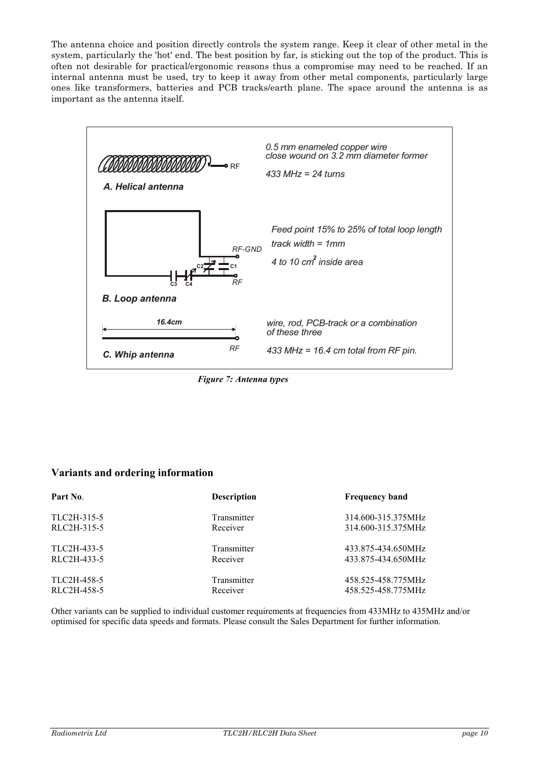The antenna choice and position directly controls the system range. Keep it clear of other metal in the system, particularly the 'hot' end. The best position by far, is sticking out the top of the product. This is often not desirable for practical/ergonomic reasons thus a compromise may need to be reached. If an internal antenna must be used, try to keep it away from other metal components, particularly large ones like transformers, batteries and PCB tracks/earth plane. The space around the antenna is as important as the antenna itself.



*Figure 7: Antenna types*

### **Variants and ordering information**

| Part No.    | <b>Description</b> | <b>Frequency band</b> |
|-------------|--------------------|-----------------------|
| TLC2H-315-5 | Transmitter        | 314.600-315.375MHz    |
| RLC2H-315-5 | Receiver           | 314.600-315.375MHz    |
| TLC2H-433-5 | Transmitter        | 433.875-434.650MHz    |
| RLC2H-433-5 | Receiver           | 433.875-434.650MHz    |
| TLC2H-458-5 | Transmitter        | 458.525-458.775MHz    |
| RLC2H-458-5 | Receiver           | 458.525-458.775MHz    |

Other variants can be supplied to individual customer requirements at frequencies from 433MHz to 435MHz and/or optimised for specific data speeds and formats. Please consult the Sales Department for further information.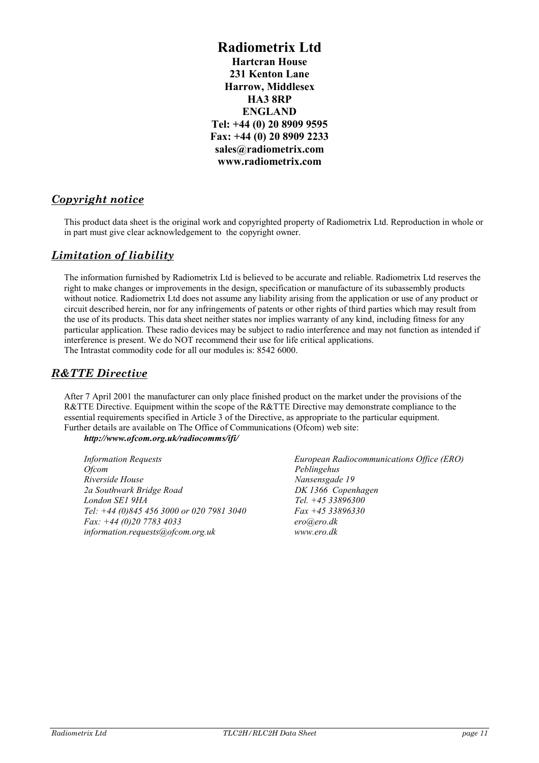**Radiometrix Ltd Hartcran House 231 Kenton Lane Harrow, Middlesex HA3 8RP ENGLAND Tel: +44 (0) 20 8909 9595 Fax: +44 (0) 20 8909 2233 sales@radiometrix.com www.radiometrix.com** 

### *Copyright notice*

This product data sheet is the original work and copyrighted property of Radiometrix Ltd. Reproduction in whole or in part must give clear acknowledgement to the copyright owner.

#### *Limitation of liability*

The information furnished by Radiometrix Ltd is believed to be accurate and reliable. Radiometrix Ltd reserves the right to make changes or improvements in the design, specification or manufacture of its subassembly products without notice. Radiometrix Ltd does not assume any liability arising from the application or use of any product or circuit described herein, nor for any infringements of patents or other rights of third parties which may result from the use of its products. This data sheet neither states nor implies warranty of any kind, including fitness for any particular application. These radio devices may be subject to radio interference and may not function as intended if interference is present. We do NOT recommend their use for life critical applications. The Intrastat commodity code for all our modules is: 8542 6000.

#### *R&TTE Directive*

After 7 April 2001 the manufacturer can only place finished product on the market under the provisions of the R&TTE Directive. Equipment within the scope of the R&TTE Directive may demonstrate compliance to the essential requirements specified in Article 3 of the Directive, as appropriate to the particular equipment. Further details are available on The Office of Communications (Ofcom) web site:

*http://www.ofcom.org.uk/radiocomms/ifi/*

*Information Requests Ofcom Riverside House 2a Southwark Bridge Road London SE1 9HA Tel: +44 (0)845 456 3000 or 020 7981 3040 Fax: +44 (0)20 7783 4033 information.requests@ofcom.org.uk* 

*European Radiocommunications Office (ERO) Peblingehus Nansensgade 19 DK 1366 Copenhagen Tel. +45 33896300 Fax +45 33896330 ero@ero.dk www.ero.dk*